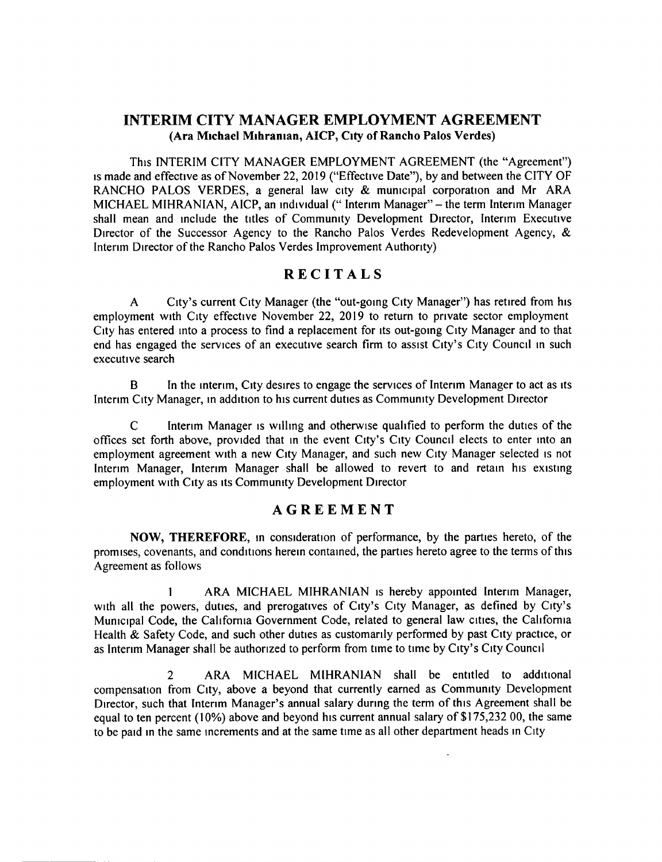## INTERIM CITY MANAGER EMPLOYMENT AGREEMENT Ara Michael Mihranian, AICP, City of Rancho Palos Verdes)

This INTERIM CITY MANAGER EMPLOYMENT AGREEMENT ( the " Agreement") is made and effective as of November 22, 2019 (" Effective Date"), by and between the CITY OF RANCHO PALOS VERDES, a general law city & municipal corporation and Mr ARA MICHAEL MIHRANIAN, AICP, an individual (" Interim Manager"— the term Interim Manager shall mean and include the titles of Community Development Director, Interim Executive Director of the Successor Agency to the Rancho Palos Verdes Redevelopment Agency, & Interim Director of the Rancho Palos Verdes Improvement Authority)

# RECITALS

A City's current City Manager (the "out-going City Manager") has retired from his employment with City effective November 22, 2019 to return to private sector employment City has entered into a process to find a replacement for its out-going City Manager and to that end has engaged the services of an executive search firm to assist City's City Council in such executive search

B In the interim, City desires to engage the services of Interim Manager to act as its Interim City Manager, in addition to his current duties as Community Development Director

C Interim Manager is willing and otherwise qualified to perform the duties of the offices set forth above, provided that in the event City's City Council elects to enter into an employment agreement with a new City Manager, and such new City Manager selected is not Interim Manager, Interim Manager shall be allowed to revert to and retain his existing employment with City as its Community Development Director

## AGREEMENT

NOW, THEREFORE, in consideration of performance, by the parties hereto, of the promises, covenants, and conditions herein contained, the parties hereto agree to the terms of this Agreement as follows

ARA MICHAEL MIHRANIAN is hereby appointed Interim Manager, with all the powers, duties, and prerogatives of City's City Manager, as defined by City's Municipal Code, the California Government Code, related to general law cities, the California Health & Safety Code, and such other duties as customarily performed by past City practice, or as Interim Manager shall be authorized to perform from time to time by City's City Council

2 ARA MICHAEL MIHRANIAN shall be entitled to additional compensation from City, above a beyond that currently earned as Community Development Director, such that Interim Manager's annual salary during the term of this Agreement shall be equal to ten percent ( $10\%$ ) above and beyond his current annual salary of \$175,232 00, the same to be paid in the same increments and at the same time as all other department heads in City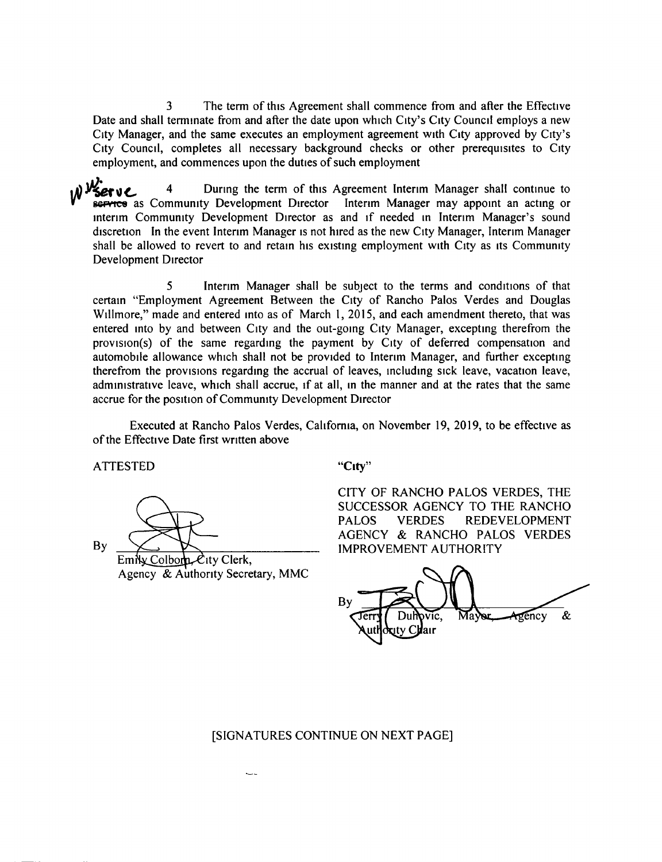<sup>3</sup> The term of this Agreement shall commence from and after the Effective Date and shall terminate from and after the date upon which City's City Council employs a new City Manager, and the same executes an employment agreement with City approved by City's City Council, completes all necessary background checks or other prerequisites to City employment, and commences upon the duties of such employment

) Vserve <sup>4</sup> During the term of this Agreement Interim Manager shall continue to Bervice as Community Development Director Interim Manager may appoint an acting or interim Community Development Director as and if needed in Interim Manager's sound discretion In the event Interim Manager is not hired as the new City Manager, Interim Manager shall be allowed to revert to and retain his existing employment with City as its Community Development Director

<sup>5</sup> Interim Manager shall be subject to the terms and conditions of that certain "Employment Agreement Between the City of Rancho Palos Verdes and Douglas Willmore," made and entered into as of March 1, 2015, and each amendment thereto, that was entered into by and between City and the out-going City Manager, excepting therefrom the provision(s) of the same regarding the payment by City of deferred compensation and automobile allowance which shall not be provided to Interim Manager, and further excepting therefrom the provisions regarding the accrual of leaves, including sick leave, vacation leave, administrative leave, which shall accrue, if at all, in the manner and at the rates that the same accrue for the position of Community Development Director

Executed at Rancho Palos Verdes, California, on November 19, 2019, to be effective as of the Effective Date first written above

ATTESTED "City"

 $\n By \n  $\sum$$ 

 $EmNx$  Colborn  $\mathcal{L}$ ity Clerk, Agency & Authority Secretary, MMC

 $\overline{\phantom{a}}$ 

CITY OF RANCHO PALOS VERDES, THE SUCCESSOR AGENCY TO THE RANCHO PALOS VERDES REDEVELOPMENT AGENCY & RANCHO PALOS VERDES

 $By = B_y$ erry Dumpvic, Mayor Agency & uty C**ll**air

#### SIGNATURES CONTINUE ON NEXT PAGE]